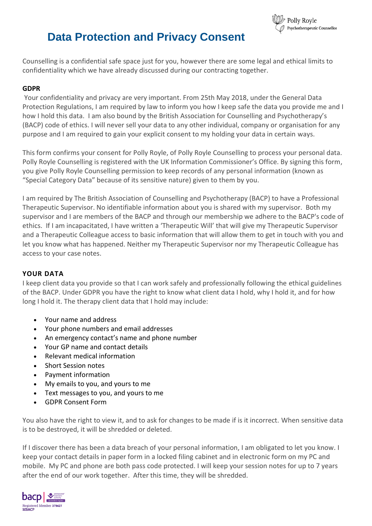

# **Data Protection and Privacy Consent**

Counselling is a confidential safe space just for you, however there are some legal and ethical limits to confidentiality which we have already discussed during our contracting together.

## **GDPR**

Your confidentiality and privacy are very important. From 25th May 2018, under the General Data Protection Regulations, I am required by law to inform you how I keep safe the data you provide me and I how I hold this data. I am also bound by the British Association for Counselling and Psychotherapy's (BACP) code of ethics. I will never sell your data to any other individual, company or organisation for any purpose and I am required to gain your explicit consent to my holding your data in certain ways.

This form confirms your consent for Polly Royle, of Polly Royle Counselling to process your personal data. Polly Royle Counselling is registered with the UK Information Commissioner's Office. By signing this form, you give Polly Royle Counselling permission to keep records of any personal information (known as "Special Category Data" because of its sensitive nature) given to them by you.

I am required by The British Association of Counselling and Psychotherapy (BACP) to have a Professional Therapeutic Supervisor. No identifiable information about you is shared with my supervisor. Both my supervisor and I are members of the BACP and through our membership we adhere to the BACP's code of ethics. If I am incapacitated, I have written a 'Therapeutic Will' that will give my Therapeutic Supervisor and a Therapeutic Colleague access to basic information that will allow them to get in touch with you and let you know what has happened. Neither my Therapeutic Supervisor nor my Therapeutic Colleague has access to your case notes.

#### **YOUR DATA**

I keep client data you provide so that I can work safely and professionally following the ethical guidelines of the BACP. Under GDPR you have the right to know what client data I hold, why I hold it, and for how long I hold it. The therapy client data that I hold may include:

- Your name and address
- Your phone numbers and email addresses
- An emergency contact's name and phone number
- Your GP name and contact details
- Relevant medical information
- Short Session notes
- Payment information
- My emails to you, and yours to me
- Text messages to you, and yours to me
- GDPR Consent Form

You also have the right to view it, and to ask for changes to be made if is it incorrect. When sensitive data is to be destroyed, it will be shredded or deleted.

If I discover there has been a data breach of your personal information, I am obligated to let you know. I keep your contact details in paper form in a locked filing cabinet and in electronic form on my PC and mobile. My PC and phone are both pass code protected. I will keep your session notes for up to 7 years after the end of our work together. After this time, they will be shredded.

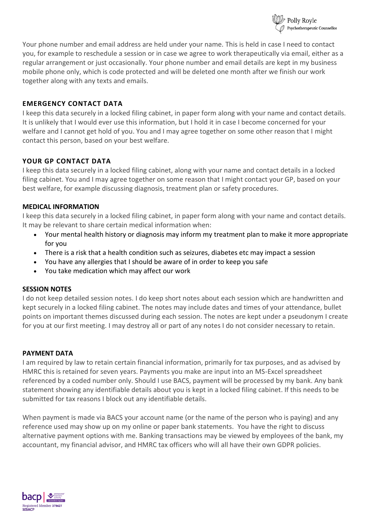

Your phone number and email address are held under your name. This is held in case I need to contact you, for example to reschedule a session or in case we agree to work therapeutically via email, either as a regular arrangement or just occasionally. Your phone number and email details are kept in my business mobile phone only, which is code protected and will be deleted one month after we finish our work together along with any texts and emails.

## **EMERGENCY CONTACT DATA**

I keep this data securely in a locked filing cabinet, in paper form along with your name and contact details. It is unlikely that I would ever use this information, but I hold it in case I become concerned for your welfare and I cannot get hold of you. You and I may agree together on some other reason that I might contact this person, based on your best welfare.

## **YOUR GP CONTACT DATA**

I keep this data securely in a locked filing cabinet, along with your name and contact details in a locked filing cabinet. You and I may agree together on some reason that I might contact your GP, based on your best welfare, for example discussing diagnosis, treatment plan or safety procedures.

#### **MEDICAL INFORMATION**

I keep this data securely in a locked filing cabinet, in paper form along with your name and contact details. It may be relevant to share certain medical information when:

- Your mental health history or diagnosis may inform my treatment plan to make it more appropriate for you
- There is a risk that a health condition such as seizures, diabetes etc may impact a session
- You have any allergies that I should be aware of in order to keep you safe
- You take medication which may affect our work

#### **SESSION NOTES**

I do not keep detailed session notes. I do keep short notes about each session which are handwritten and kept securely in a locked filing cabinet. The notes may include dates and times of your attendance, bullet points on important themes discussed during each session. The notes are kept under a pseudonym I create for you at our first meeting. I may destroy all or part of any notes I do not consider necessary to retain.

#### **PAYMENT DATA**

I am required by law to retain certain financial information, primarily for tax purposes, and as advised by HMRC this is retained for seven years. Payments you make are input into an MS-Excel spreadsheet referenced by a coded number only. Should I use BACS, payment will be processed by my bank. Any bank statement showing any identifiable details about you is kept in a locked filing cabinet. If this needs to be submitted for tax reasons I block out any identifiable details.

When payment is made via BACS your account name (or the name of the person who is paying) and any reference used may show up on my online or paper bank statements. You have the right to discuss alternative payment options with me. Banking transactions may be viewed by employees of the bank, my accountant, my financial advisor, and HMRC tax officers who will all have their own GDPR policies.